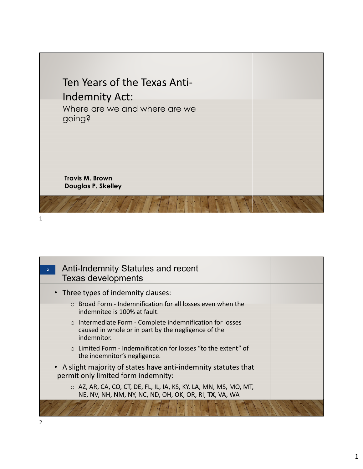

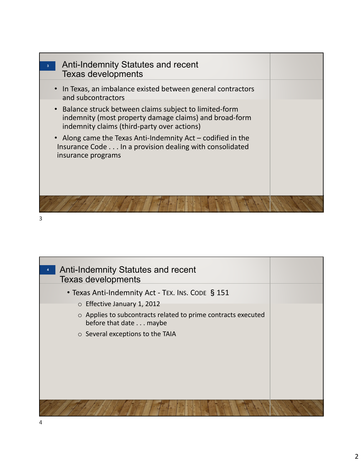



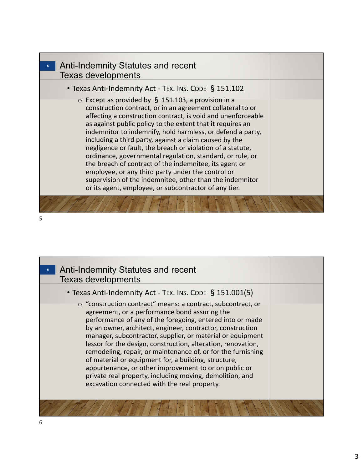| <b>Anti-Indemnity Statutes and recent</b><br>$5-1$<br><b>Texas developments</b>                                                                                                                                                                                                                                                                                                                                                                                                                                                                                                                                                                                                                                                              |  |
|----------------------------------------------------------------------------------------------------------------------------------------------------------------------------------------------------------------------------------------------------------------------------------------------------------------------------------------------------------------------------------------------------------------------------------------------------------------------------------------------------------------------------------------------------------------------------------------------------------------------------------------------------------------------------------------------------------------------------------------------|--|
| • Texas Anti-Indemnity Act - TEX. INS. CODE § 151.102                                                                                                                                                                                                                                                                                                                                                                                                                                                                                                                                                                                                                                                                                        |  |
| $\circ$ Except as provided by § 151.103, a provision in a<br>construction contract, or in an agreement collateral to or<br>affecting a construction contract, is void and unenforceable<br>as against public policy to the extent that it requires an<br>indemnitor to indemnify, hold harmless, or defend a party,<br>including a third party, against a claim caused by the<br>negligence or fault, the breach or violation of a statute,<br>ordinance, governmental regulation, standard, or rule, or<br>the breach of contract of the indemnitee, its agent or<br>employee, or any third party under the control or<br>supervision of the indemnitee, other than the indemnitor<br>or its agent, employee, or subcontractor of any tier. |  |
|                                                                                                                                                                                                                                                                                                                                                                                                                                                                                                                                                                                                                                                                                                                                              |  |



| Anti-Indemnity Statutes and recent<br><b>Texas developments</b>                                                                                                                                                                                                                                                                                                                                                                                                                                                                                                                                                                                                     |  |
|---------------------------------------------------------------------------------------------------------------------------------------------------------------------------------------------------------------------------------------------------------------------------------------------------------------------------------------------------------------------------------------------------------------------------------------------------------------------------------------------------------------------------------------------------------------------------------------------------------------------------------------------------------------------|--|
| • Texas Anti-Indemnity Act - TEX. INS. CODE § 151.001(5)                                                                                                                                                                                                                                                                                                                                                                                                                                                                                                                                                                                                            |  |
| ○ "construction contract" means: a contract, subcontract, or<br>agreement, or a performance bond assuring the<br>performance of any of the foregoing, entered into or made<br>by an owner, architect, engineer, contractor, construction<br>manager, subcontractor, supplier, or material or equipment<br>lessor for the design, construction, alteration, renovation,<br>remodeling, repair, or maintenance of, or for the furnishing<br>of material or equipment for, a building, structure,<br>appurtenance, or other improvement to or on public or<br>private real property, including moving, demolition, and<br>excavation connected with the real property. |  |
|                                                                                                                                                                                                                                                                                                                                                                                                                                                                                                                                                                                                                                                                     |  |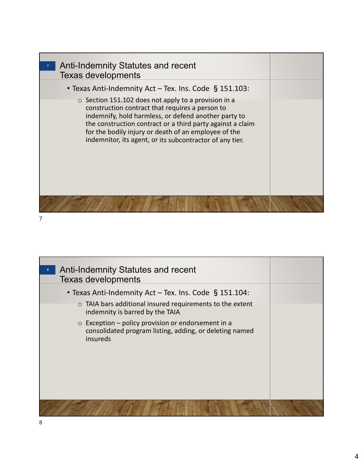| Anti-Indemnity Statutes and recent<br>7 <sup>1</sup>                                                                                                                                                                                                                                                                                              |  |
|---------------------------------------------------------------------------------------------------------------------------------------------------------------------------------------------------------------------------------------------------------------------------------------------------------------------------------------------------|--|
| <b>Texas developments</b>                                                                                                                                                                                                                                                                                                                         |  |
| • Texas Anti-Indemnity Act – Tex. Ins. Code § 151.103:                                                                                                                                                                                                                                                                                            |  |
| ○ Section 151.102 does not apply to a provision in a<br>construction contract that requires a person to<br>indemnify, hold harmless, or defend another party to<br>the construction contract or a third party against a claim<br>for the bodily injury or death of an employee of the<br>indemnitor, its agent, or its subcontractor of any tier. |  |
|                                                                                                                                                                                                                                                                                                                                                   |  |

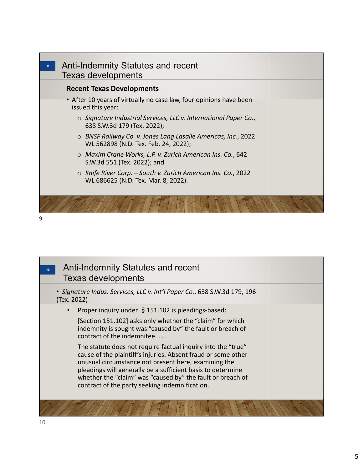| 9 | <b>Anti-Indemnity Statutes and recent</b><br><b>Texas developments</b>                                     |  |
|---|------------------------------------------------------------------------------------------------------------|--|
|   | <b>Recent Texas Developments</b>                                                                           |  |
|   | • After 10 years of virtually no case law, four opinions have been<br>issued this year:                    |  |
|   | $\circ$ Signature Industrial Services, LLC v. International Paper Co.,<br>638 S.W.3d 179 (Tex. 2022);      |  |
|   | ○ BNSF Railway Co. v. Jones Lang Lasalle Americas, Inc., 2022<br>WL 562898 (N.D. Tex. Feb. 24, 2022);      |  |
|   | o Maxim Crane Works, L.P. v. Zurich American Ins. Co., 642<br>S.W.3d 551 (Tex. 2022); and                  |  |
|   | $\circ$ Knife River Corp. – South v. Zurich American Ins. Co., 2022<br>WL 686625 (N.D. Tex. Mar. 8, 2022). |  |
|   |                                                                                                            |  |

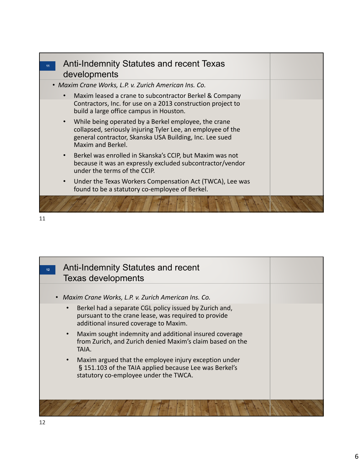| <b>Anti-Indemnity Statutes and recent Texas</b><br>11<br>developments                                                                                                                                            |  |
|------------------------------------------------------------------------------------------------------------------------------------------------------------------------------------------------------------------|--|
| • Maxim Crane Works, L.P. v. Zurich American Ins. Co.                                                                                                                                                            |  |
| Maxim leased a crane to subcontractor Berkel & Company<br>$\bullet$<br>Contractors, Inc. for use on a 2013 construction project to<br>build a large office campus in Houston.                                    |  |
| While being operated by a Berkel employee, the crane<br>$\bullet$<br>collapsed, seriously injuring Tyler Lee, an employee of the<br>general contractor, Skanska USA Building, Inc. Lee sued<br>Maxim and Berkel. |  |
| Berkel was enrolled in Skanska's CCIP, but Maxim was not<br>$\bullet$<br>because it was an expressly excluded subcontractor/vendor<br>under the terms of the CCIP.                                               |  |
| Under the Texas Workers Compensation Act (TWCA), Lee was<br>$\bullet$<br>found to be a statutory co-employee of Berkel.                                                                                          |  |
|                                                                                                                                                                                                                  |  |



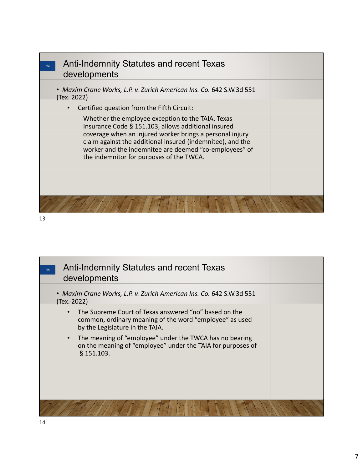

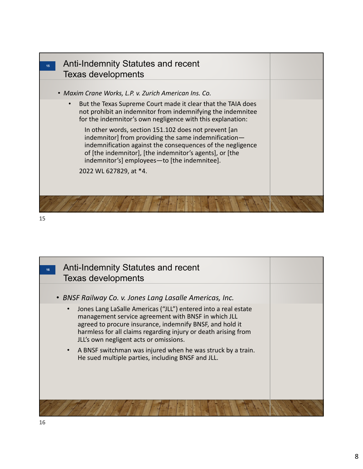

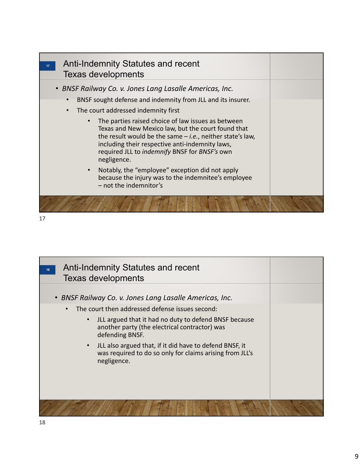

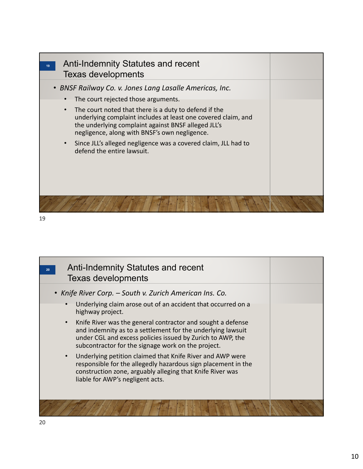| Anti-Indemnity Statutes and recent<br><b>Texas developments</b>                                                                                                                                                                             |  |
|---------------------------------------------------------------------------------------------------------------------------------------------------------------------------------------------------------------------------------------------|--|
| • BNSF Railway Co. v. Jones Lang Lasalle Americas, Inc.<br>The court rejected those arguments.                                                                                                                                              |  |
| The court noted that there is a duty to defend if the<br>$\bullet$<br>underlying complaint includes at least one covered claim, and<br>the underlying complaint against BNSF alleged JLL's<br>negligence, along with BNSF's own negligence. |  |
| Since JLL's alleged negligence was a covered claim, JLL had to<br>defend the entire lawsuit.                                                                                                                                                |  |
|                                                                                                                                                                                                                                             |  |

| <b>Anti-Indemnity Statutes and recent</b><br>20<br><b>Texas developments</b>                                                                                                                                                                                |  |
|-------------------------------------------------------------------------------------------------------------------------------------------------------------------------------------------------------------------------------------------------------------|--|
| • Knife River Corp. – South v. Zurich American Ins. Co.                                                                                                                                                                                                     |  |
| Underlying claim arose out of an accident that occurred on a<br>$\bullet$<br>highway project.                                                                                                                                                               |  |
| Knife River was the general contractor and sought a defense<br>$\bullet$<br>and indemnity as to a settlement for the underlying lawsuit<br>under CGL and excess policies issued by Zurich to AWP, the<br>subcontractor for the signage work on the project. |  |
| Underlying petition claimed that Knife River and AWP were<br>$\bullet$<br>responsible for the allegedly hazardous sign placement in the<br>construction zone, arguably alleging that Knife River was<br>liable for AWP's negligent acts.                    |  |
|                                                                                                                                                                                                                                                             |  |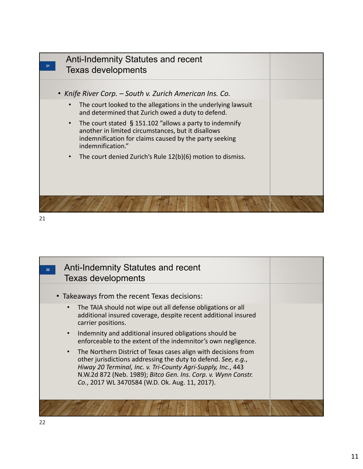

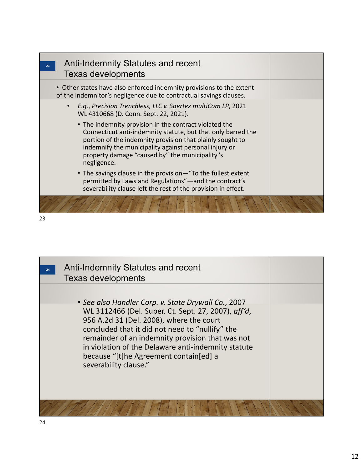| 23 | <b>Anti-Indemnity Statutes and recent</b><br><b>Texas developments</b>                                                                                                                                                                                                                                        |  |
|----|---------------------------------------------------------------------------------------------------------------------------------------------------------------------------------------------------------------------------------------------------------------------------------------------------------------|--|
|    | • Other states have also enforced indemnity provisions to the extent<br>of the indemnitor's negligence due to contractual savings clauses.                                                                                                                                                                    |  |
|    | E.g., Precision Trenchless, LLC v. Saertex multiCom LP, 2021<br>$\bullet$<br>WL 4310668 (D. Conn. Sept. 22, 2021).                                                                                                                                                                                            |  |
|    | • The indemnity provision in the contract violated the<br>Connecticut anti-indemnity statute, but that only barred the<br>portion of the indemnity provision that plainly sought to<br>indemnify the municipality against personal injury or<br>property damage "caused by" the municipality's<br>negligence. |  |
|    | • The savings clause in the provision—"To the fullest extent<br>permitted by Laws and Regulations"-and the contract's<br>severability clause left the rest of the provision in effect.                                                                                                                        |  |
|    |                                                                                                                                                                                                                                                                                                               |  |